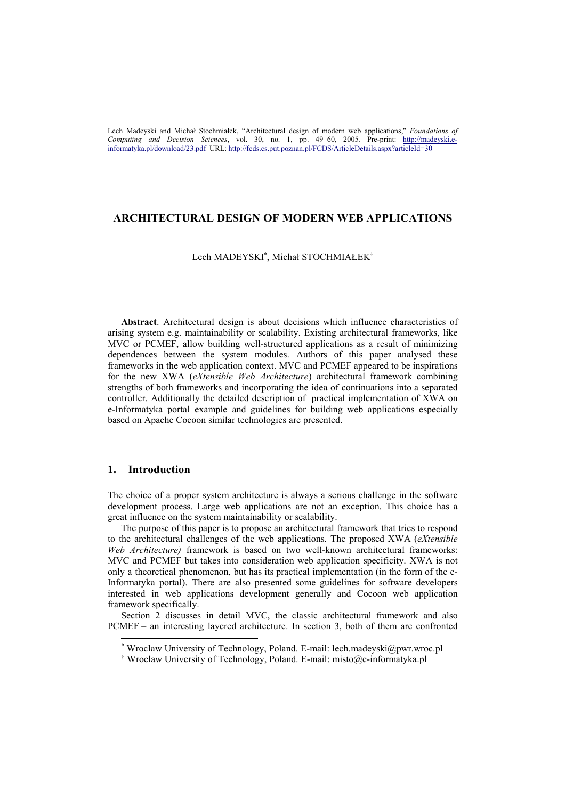## **ARCHITECTURAL DESIGN OF MODERN WEB APPLICATIONS**

### Lech MADEYSKI\* , Michał STOCHMIAŁEK†

**Abstract**. Architectural design is about decisions which influence characteristics of arising system e.g. maintainability or scalability. Existing architectural frameworks, like MVC or PCMEF, allow building well-structured applications as a result of minimizing dependences between the system modules. Authors of this paper analysed these frameworks in the web application context. MVC and PCMEF appeared to be inspirations for the new XWA (*eXtensible Web Architecture*) architectural framework combining strengths of both frameworks and incorporating the idea of continuations into a separated controller. Additionally the detailed description of practical implementation of XWA on e-Informatyka portal example and guidelines for building web applications especially based on Apache Cocoon similar technologies are presented.

# **1. Introduction**

The choice of a proper system architecture is always a serious challenge in the software development process. Large web applications are not an exception. This choice has a great influence on the system maintainability or scalability.

The purpose of this paper is to propose an architectural framework that tries to respond to the architectural challenges of the web applications. The proposed XWA (*eXtensible Web Architecture)* framework is based on two well-known architectural frameworks: MVC and PCMEF but takes into consideration web application specificity. XWA is not only a theoretical phenomenon, but has its practical implementation (in the form of the e-Informatyka portal). There are also presented some guidelines for software developers interested in web applications development generally and Cocoon web application framework specifically.

Section 2 discusses in detail MVC, the classic architectural framework and also PCMEF – an interesting layered architecture. In section 3, both of them are confronted

 <sup>\*</sup> Wroclaw University of Technology, Poland. E-mail: lech.madeyski@pwr.wroc.pl

<sup>†</sup> Wroclaw University of Technology, Poland. E-mail: misto@e-informatyka.pl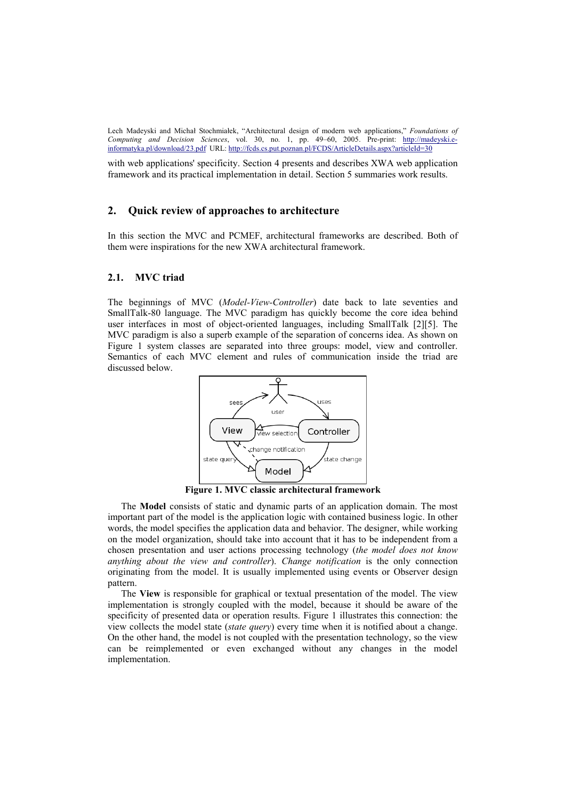with web applications' specificity. Section 4 presents and describes XWA web application framework and its practical implementation in detail. Section 5 summaries work results.

## **2. Quick review of approaches to architecture**

In this section the MVC and PCMEF, architectural frameworks are described. Both of them were inspirations for the new XWA architectural framework.

## **2.1. MVC triad**

The beginnings of MVC (*Model-View-Controller*) date back to late seventies and SmallTalk-80 language. The MVC paradigm has quickly become the core idea behind user interfaces in most of object-oriented languages, including SmallTalk [2][5]. The MVC paradigm is also a superb example of the separation of concerns idea. As shown on Figure 1 system classes are separated into three groups: model, view and controller. Semantics of each MVC element and rules of communication inside the triad are discussed below.



**Figure 1. MVC classic architectural framework**

The **Model** consists of static and dynamic parts of an application domain. The most important part of the model is the application logic with contained business logic. In other words, the model specifies the application data and behavior. The designer, while working on the model organization, should take into account that it has to be independent from a chosen presentation and user actions processing technology (*the model does not know anything about the view and controller*). *Change notification* is the only connection originating from the model. It is usually implemented using events or Observer design pattern.

The **View** is responsible for graphical or textual presentation of the model. The view implementation is strongly coupled with the model, because it should be aware of the specificity of presented data or operation results. Figure 1 illustrates this connection: the view collects the model state (*state query*) every time when it is notified about a change. On the other hand, the model is not coupled with the presentation technology, so the view can be reimplemented or even exchanged without any changes in the model implementation.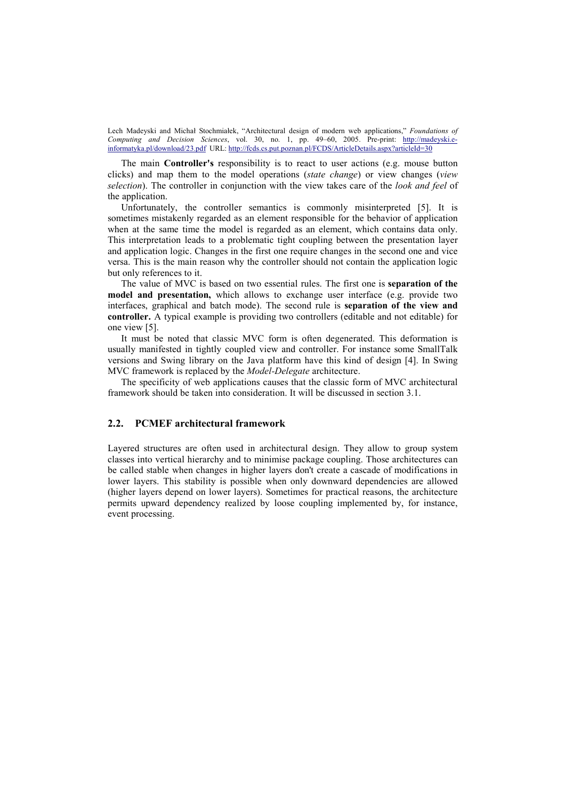The main **Controller's** responsibility is to react to user actions (e.g. mouse button clicks) and map them to the model operations (*state change*) or view changes (*view selection*). The controller in conjunction with the view takes care of the *look and feel* of the application.

Unfortunately, the controller semantics is commonly misinterpreted [5]. It is sometimes mistakenly regarded as an element responsible for the behavior of application when at the same time the model is regarded as an element, which contains data only. This interpretation leads to a problematic tight coupling between the presentation layer and application logic. Changes in the first one require changes in the second one and vice versa. This is the main reason why the controller should not contain the application logic but only references to it.

The value of MVC is based on two essential rules. The first one is **separation of the model and presentation,** which allows to exchange user interface (e.g. provide two interfaces, graphical and batch mode). The second rule is **separation of the view and controller.** A typical example is providing two controllers (editable and not editable) for one view [5].

It must be noted that classic MVC form is often degenerated. This deformation is usually manifested in tightly coupled view and controller. For instance some SmallTalk versions and Swing library on the Java platform have this kind of design [4]. In Swing MVC framework is replaced by the *Model-Delegate* architecture.

The specificity of web applications causes that the classic form of MVC architectural framework should be taken into consideration. It will be discussed in section 3.1.

## **2.2. PCMEF architectural framework**

Layered structures are often used in architectural design. They allow to group system classes into vertical hierarchy and to minimise package coupling. Those architectures can be called stable when changes in higher layers don't create a cascade of modifications in lower layers. This stability is possible when only downward dependencies are allowed (higher layers depend on lower layers). Sometimes for practical reasons, the architecture permits upward dependency realized by loose coupling implemented by, for instance, event processing.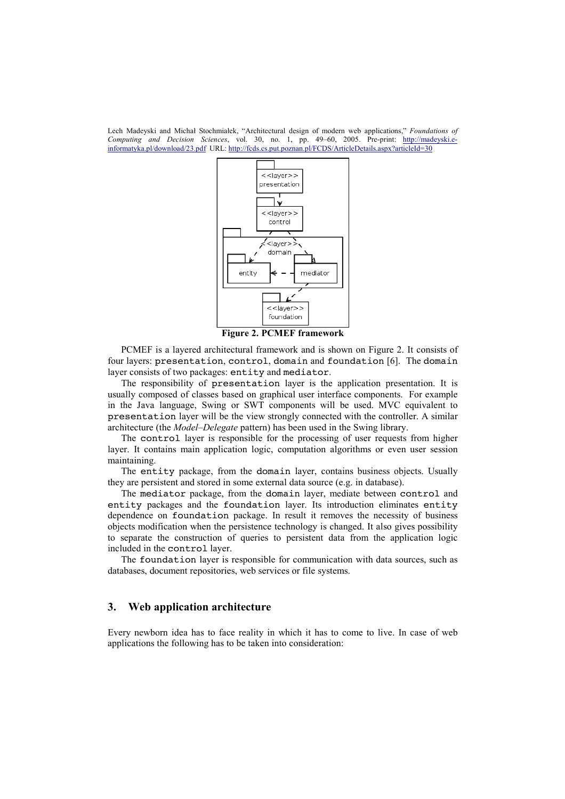

**Figure 2. PCMEF framework**

PCMEF is a layered architectural framework and is shown on Figure 2. It consists of four layers: presentation, control, domain and foundation [6]. The domain layer consists of two packages: entity and mediator.

The responsibility of presentation layer is the application presentation. It is usually composed of classes based on graphical user interface components. For example in the Java language, Swing or SWT components will be used. MVC equivalent to presentation layer will be the view strongly connected with the controller. A similar architecture (the *Model*–*Delegate* pattern) has been used in the Swing library.

The control layer is responsible for the processing of user requests from higher layer. It contains main application logic, computation algorithms or even user session maintaining.

The entity package, from the domain layer, contains business objects. Usually they are persistent and stored in some external data source (e.g. in database).

The mediator package, from the domain layer, mediate between control and entity packages and the foundation layer. Its introduction eliminates entity dependence on foundation package. In result it removes the necessity of business objects modification when the persistence technology is changed. It also gives possibility to separate the construction of queries to persistent data from the application logic included in the control layer.

The foundation layer is responsible for communication with data sources, such as databases, document repositories, web services or file systems.

### **3. Web application architecture**

Every newborn idea has to face reality in which it has to come to live. In case of web applications the following has to be taken into consideration: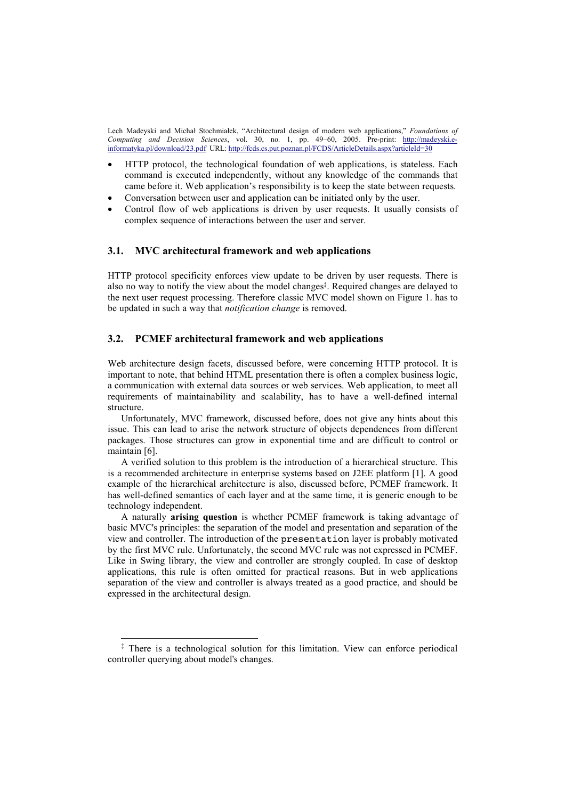- HTTP protocol, the technological foundation of web applications, is stateless. Each command is executed independently, without any knowledge of the commands that came before it. Web application's responsibility is to keep the state between requests.
- Conversation between user and application can be initiated only by the user.
- Control flow of web applications is driven by user requests. It usually consists of complex sequence of interactions between the user and server.

### **3.1. MVC architectural framework and web applications**

HTTP protocol specificity enforces view update to be driven by user requests. There is also no way to notify the view about the model changes<sup>‡</sup>. Required changes are delayed to the next user request processing. Therefore classic MVC model shown on Figure 1. has to be updated in such a way that *notification change* is removed.

### **3.2. PCMEF architectural framework and web applications**

Web architecture design facets, discussed before, were concerning HTTP protocol. It is important to note, that behind HTML presentation there is often a complex business logic, a communication with external data sources or web services. Web application, to meet all requirements of maintainability and scalability, has to have a well-defined internal structure.

Unfortunately, MVC framework, discussed before, does not give any hints about this issue. This can lead to arise the network structure of objects dependences from different packages. Those structures can grow in exponential time and are difficult to control or maintain [6].

A verified solution to this problem is the introduction of a hierarchical structure. This is a recommended architecture in enterprise systems based on J2EE platform [1]. A good example of the hierarchical architecture is also, discussed before, PCMEF framework. It has well-defined semantics of each layer and at the same time, it is generic enough to be technology independent.

A naturally **arising question** is whether PCMEF framework is taking advantage of basic MVC's principles: the separation of the model and presentation and separation of the view and controller. The introduction of the presentation layer is probably motivated by the first MVC rule. Unfortunately, the second MVC rule was not expressed in PCMEF. Like in Swing library, the view and controller are strongly coupled. In case of desktop applications, this rule is often omitted for practical reasons. But in web applications separation of the view and controller is always treated as a good practice, and should be expressed in the architectural design.

 <sup>‡</sup> There is a technological solution for this limitation. View can enforce periodical controller querying about model's changes.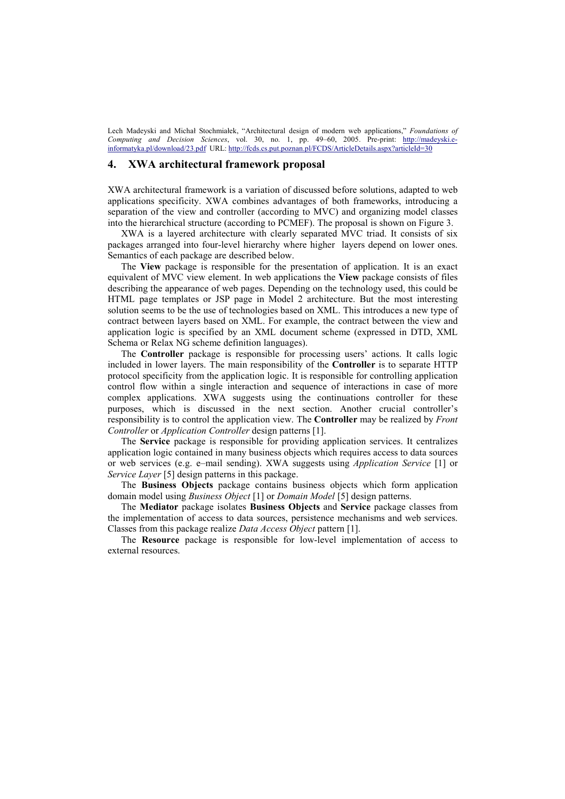### **4. XWA architectural framework proposal**

XWA architectural framework is a variation of discussed before solutions, adapted to web applications specificity. XWA combines advantages of both frameworks, introducing a separation of the view and controller (according to MVC) and organizing model classes into the hierarchical structure (according to PCMEF). The proposal is shown on Figure 3.

XWA is a layered architecture with clearly separated MVC triad. It consists of six packages arranged into four-level hierarchy where higher layers depend on lower ones. Semantics of each package are described below.

The **View** package is responsible for the presentation of application. It is an exact equivalent of MVC view element. In web applications the **View** package consists of files describing the appearance of web pages. Depending on the technology used, this could be HTML page templates or JSP page in Model 2 architecture. But the most interesting solution seems to be the use of technologies based on XML. This introduces a new type of contract between layers based on XML. For example, the contract between the view and application logic is specified by an XML document scheme (expressed in DTD, XML Schema or Relax NG scheme definition languages).

The **Controller** package is responsible for processing users' actions. It calls logic included in lower layers. The main responsibility of the **Controller** is to separate HTTP protocol specificity from the application logic. It is responsible for controlling application control flow within a single interaction and sequence of interactions in case of more complex applications. XWA suggests using the continuations controller for these purposes, which is discussed in the next section. Another crucial controller's responsibility is to control the application view. The **Controller** may be realized by *Front Controller* or *Application Controller* design patterns [1].

The **Service** package is responsible for providing application services. It centralizes application logic contained in many business objects which requires access to data sources or web services (e.g. e–mail sending). XWA suggests using *Application Service* [1] or *Service Layer* [5] design patterns in this package.

The **Business Objects** package contains business objects which form application domain model using *Business Object* [1] or *Domain Model* [5] design patterns.

The **Mediator** package isolates **Business Objects** and **Service** package classes from the implementation of access to data sources, persistence mechanisms and web services. Classes from this package realize *Data Access Object* pattern [1].

The **Resource** package is responsible for low-level implementation of access to external resources.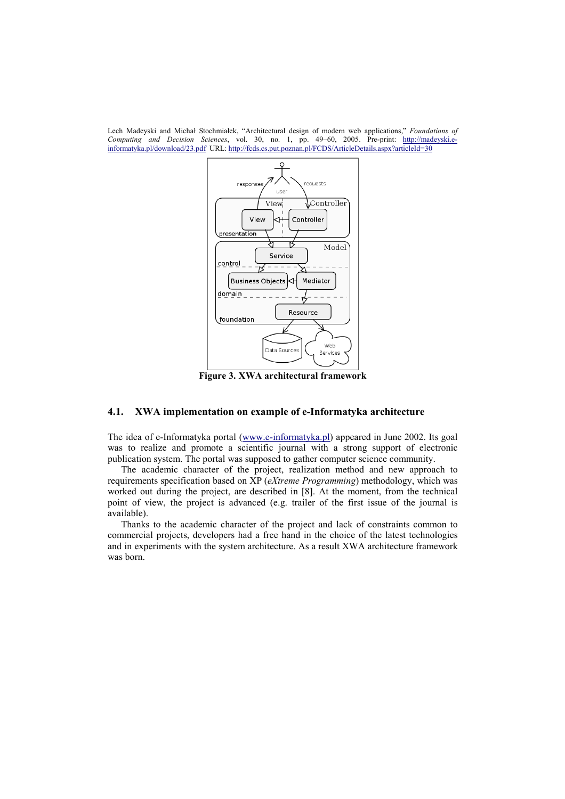

**Figure 3. XWA architectural framework**

## **4.1. XWA implementation on example of e-Informatyka architecture**

The idea of e-Informatyka portal (www.e-informatyka.pl) appeared in June 2002. Its goal was to realize and promote a scientific journal with a strong support of electronic publication system. The portal was supposed to gather computer science community.

The academic character of the project, realization method and new approach to requirements specification based on XP (*eXtreme Programming*) methodology, which was worked out during the project, are described in [8]. At the moment, from the technical point of view, the project is advanced (e.g. trailer of the first issue of the journal is available).

Thanks to the academic character of the project and lack of constraints common to commercial projects, developers had a free hand in the choice of the latest technologies and in experiments with the system architecture. As a result XWA architecture framework was born.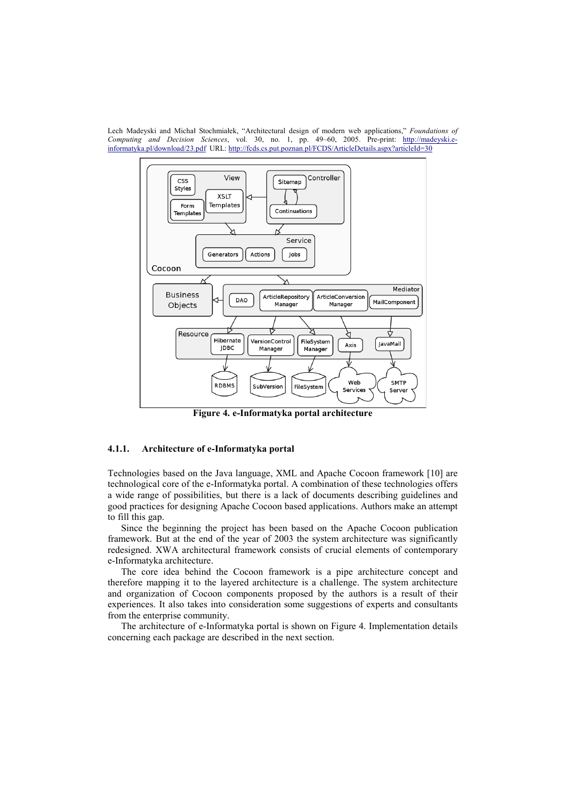Lech Madeyski and Michał Stochmiałek, "Architectural design of modern web applications," *Foundations of Computing and Decision Sciences*, vol. 30, no. 1, pp. 49–60, 2005. Pre-print: http://madeyski.einformatyka.pl/download/23.pdf URL: http://fcds.cs.put.poznan.pl/FCDS/ArticleDetails.aspx?articleId=30



**Figure 4. e-Informatyka portal architecture**

### **4.1.1. Architecture of e-Informatyka portal**

Technologies based on the Java language, XML and Apache Cocoon framework [10] are technological core of the e-Informatyka portal. A combination of these technologies offers a wide range of possibilities, but there is a lack of documents describing guidelines and good practices for designing Apache Cocoon based applications. Authors make an attempt to fill this gap.

Since the beginning the project has been based on the Apache Cocoon publication framework. But at the end of the year of 2003 the system architecture was significantly redesigned. XWA architectural framework consists of crucial elements of contemporary e-Informatyka architecture.

The core idea behind the Cocoon framework is a pipe architecture concept and therefore mapping it to the layered architecture is a challenge. The system architecture and organization of Cocoon components proposed by the authors is a result of their experiences. It also takes into consideration some suggestions of experts and consultants from the enterprise community.

The architecture of e-Informatyka portal is shown on Figure 4. Implementation details concerning each package are described in the next section.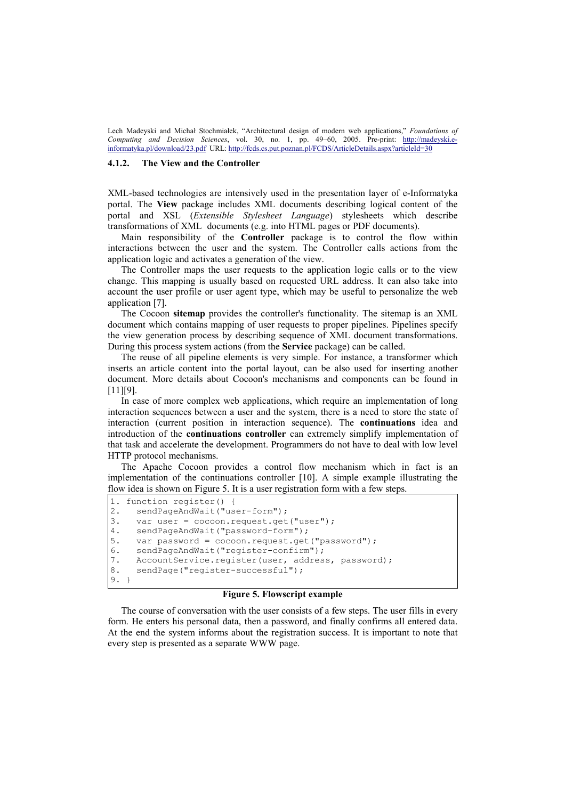#### **4.1.2. The View and the Controller**

XML-based technologies are intensively used in the presentation layer of e-Informatyka portal. The **View** package includes XML documents describing logical content of the portal and XSL (*Extensible Stylesheet Language*) stylesheets which describe transformations of XML documents (e.g. into HTML pages or PDF documents).

Main responsibility of the **Controller** package is to control the flow within interactions between the user and the system. The Controller calls actions from the application logic and activates a generation of the view.

The Controller maps the user requests to the application logic calls or to the view change. This mapping is usually based on requested URL address. It can also take into account the user profile or user agent type, which may be useful to personalize the web application [7].

The Cocoon **sitemap** provides the controller's functionality. The sitemap is an XML document which contains mapping of user requests to proper pipelines. Pipelines specify the view generation process by describing sequence of XML document transformations. During this process system actions (from the **Service** package) can be called.

The reuse of all pipeline elements is very simple. For instance, a transformer which inserts an article content into the portal layout, can be also used for inserting another document. More details about Cocoon's mechanisms and components can be found in [11][9].

In case of more complex web applications, which require an implementation of long interaction sequences between a user and the system, there is a need to store the state of interaction (current position in interaction sequence). The **continuations** idea and introduction of the **continuations controller** can extremely simplify implementation of that task and accelerate the development. Programmers do not have to deal with low level HTTP protocol mechanisms.

The Apache Cocoon provides a control flow mechanism which in fact is an implementation of the continuations controller [10]. A simple example illustrating the flow idea is shown on Figure 5. It is a user registration form with a few steps.

```
1. function register() { 
2. sendPageAndWait("user-form");
3. var user = cocoon.request.get("user");<br>4. sendPageAndWait("password-form");
     sendPageAndWait("password-form");
5. var password = cocoon.request.get("password");
6. sendPageAndWait("register-confirm");
7. AccountService.register(user, address, password);
8. sendPage("register-successful");
9. }
```
#### **Figure 5. Flowscript example**

The course of conversation with the user consists of a few steps. The user fills in every form. He enters his personal data, then a password, and finally confirms all entered data. At the end the system informs about the registration success. It is important to note that every step is presented as a separate WWW page.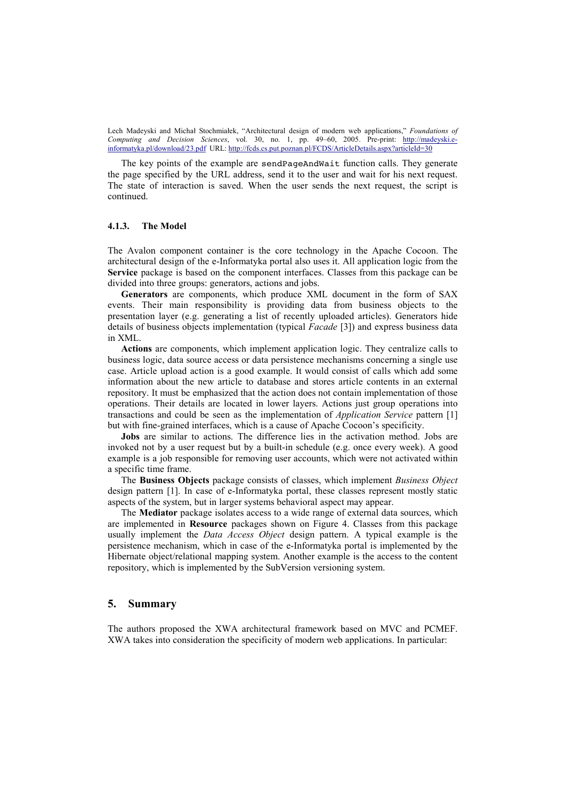The key points of the example are sendPageAndWait function calls. They generate the page specified by the URL address, send it to the user and wait for his next request. The state of interaction is saved. When the user sends the next request, the script is continued.

#### **4.1.3. The Model**

The Avalon component container is the core technology in the Apache Cocoon. The architectural design of the e-Informatyka portal also uses it. All application logic from the **Service** package is based on the component interfaces. Classes from this package can be divided into three groups: generators, actions and jobs.

**Generators** are components, which produce XML document in the form of SAX events. Their main responsibility is providing data from business objects to the presentation layer (e.g. generating a list of recently uploaded articles). Generators hide details of business objects implementation (typical *Facade* [3]) and express business data in XML.

**Actions** are components, which implement application logic. They centralize calls to business logic, data source access or data persistence mechanisms concerning a single use case. Article upload action is a good example. It would consist of calls which add some information about the new article to database and stores article contents in an external repository. It must be emphasized that the action does not contain implementation of those operations. Their details are located in lower layers. Actions just group operations into transactions and could be seen as the implementation of *Application Service* pattern [1] but with fine-grained interfaces, which is a cause of Apache Cocoon's specificity.

**Jobs** are similar to actions. The difference lies in the activation method. Jobs are invoked not by a user request but by a built-in schedule (e.g. once every week). A good example is a job responsible for removing user accounts, which were not activated within a specific time frame.

The **Business Objects** package consists of classes, which implement *Business Object* design pattern [1]. In case of e-Informatyka portal, these classes represent mostly static aspects of the system, but in larger systems behavioral aspect may appear.

The **Mediator** package isolates access to a wide range of external data sources, which are implemented in **Resource** packages shown on Figure 4. Classes from this package usually implement the *Data Access Object* design pattern. A typical example is the persistence mechanism, which in case of the e-Informatyka portal is implemented by the Hibernate object/relational mapping system. Another example is the access to the content repository, which is implemented by the SubVersion versioning system.

#### **5. Summary**

The authors proposed the XWA architectural framework based on MVC and PCMEF. XWA takes into consideration the specificity of modern web applications. In particular: